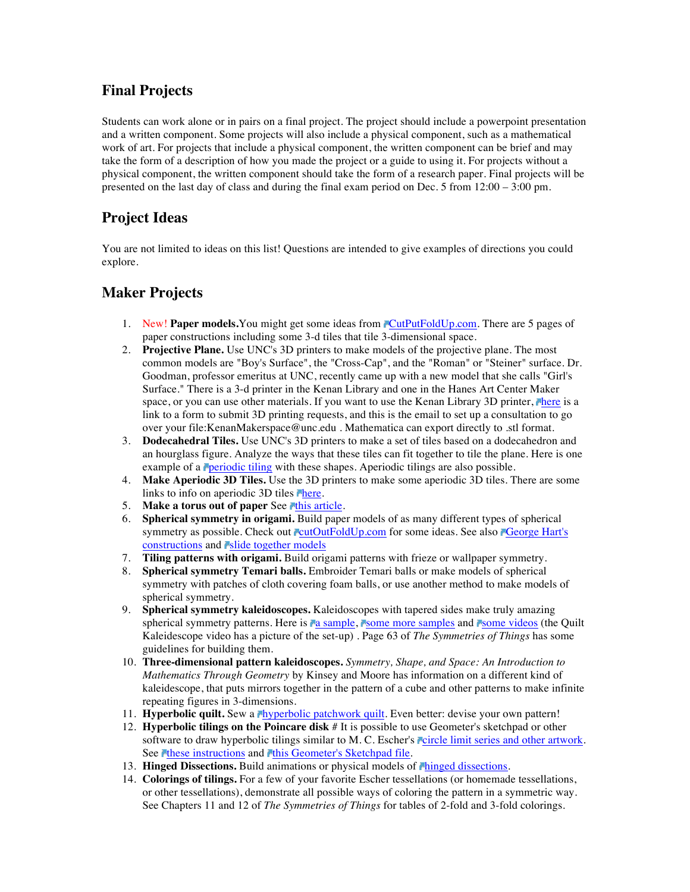## **Final Projects**

Students can work alone or in pairs on a final project. The project should include a powerpoint presentation and a written component. Some projects will also include a physical component, such as a mathematical work of art. For projects that include a physical component, the written component can be brief and may take the form of a description of how you made the project or a guide to using it. For projects without a physical component, the written component should take the form of a research paper. Final projects will be presented on the last day of class and during the final exam period on Dec. 5 from 12:00 – 3:00 pm.

## **Project Ideas**

You are not limited to ideas on this list! Questions are intended to give examples of directions you could explore.

## **Maker Projects**

- 1. New! **Paper models.**You might get some ideas from **CutPutFoldUp.com**. There are 5 pages of paper constructions including some 3-d tiles that tile 3-dimensional space.
- 2. **Projective Plane.** Use UNC's 3D printers to make models of the projective plane. The most common models are "Boy's Surface", the "Cross-Cap", and the "Roman" or "Steiner" surface. Dr. Goodman, professor emeritus at UNC, recently came up with a new model that she calls "Girl's Surface." There is a 3-d printer in the Kenan Library and one in the Hanes Art Center Maker space, or you can use other materials. If you want to use the Kenan Library 3D printer, There is a link to a form to submit 3D printing requests, and this is the email to set up a consultation to go over your file:KenanMakerspace@unc.edu . Mathematica can export directly to .stl format.
- 3. **Dodecahedral Tiles.** Use UNC's 3D printers to make a set of tiles based on a dodecahedron and an hourglass figure. Analyze the ways that these tiles can fit together to tile the plane. Here is one example of a **periodic tiling** with these shapes. Aperiodic tilings are also possible.
- 4. **Make Aperiodic 3D Tiles.** Use the 3D printers to make some aperiodic 3D tiles. There are some links to info on aperiodic 3D tiles **There**.
- 5. **Make a torus out of paper** See this article.
- 6. **Spherical symmetry in origami.** Build paper models of as many different types of spherical symmetry as possible. Check out cutOutFoldUp.com for some ideas. See also Ceorge Hart's constructions and **slide** together models
- 7. **Tiling patterns with origami.** Build origami patterns with frieze or wallpaper symmetry.
- 8. **Spherical symmetry Temari balls.** Embroider Temari balls or make models of spherical symmetry with patches of cloth covering foam balls, or use another method to make models of spherical symmetry.
- 9. **Spherical symmetry kaleidoscopes.** Kaleidoscopes with tapered sides make truly amazing spherical symmetry patterns. Here is **a** sample, **s** some more samples and **some videos** (the Quilt Kaleidescope video has a picture of the set-up) . Page 63 of *The Symmetries of Things* has some guidelines for building them.
- 10. **Three-dimensional pattern kaleidoscopes.** *Symmetry, Shape, and Space: An Introduction to Mathematics Through Geometry* by Kinsey and Moore has information on a different kind of kaleidescope, that puts mirrors together in the pattern of a cube and other patterns to make infinite repeating figures in 3-dimensions.
- 11. **Hyperbolic quilt.** Sew a *Myperbolic patchwork quilt*. Even better: devise your own pattern!
- 12. **Hyperbolic tilings on the Poincare disk** # It is possible to use Geometer's sketchpad or other software to draw hyperbolic tilings similar to M. C. Escher's circle limit series and other artwork. See these instructions and this Geometer's Sketchpad file.
- 13. **Hinged Dissections.** Build animations or physical models of *chinged dissections*.
- 14. **Colorings of tilings.** For a few of your favorite Escher tessellations (or homemade tessellations, or other tessellations), demonstrate all possible ways of coloring the pattern in a symmetric way. See Chapters 11 and 12 of *The Symmetries of Things* for tables of 2-fold and 3-fold colorings.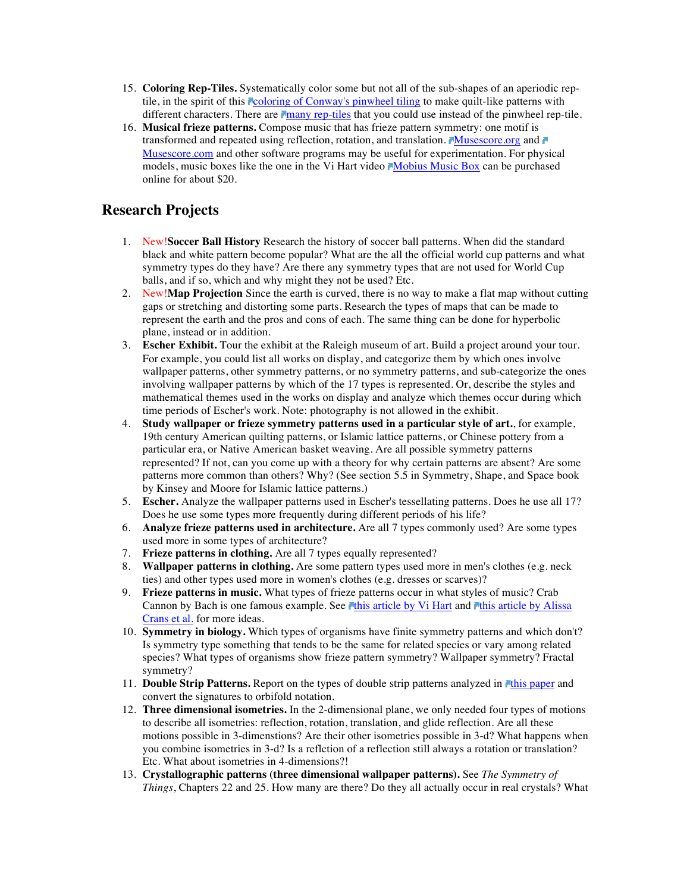- 15. **Coloring Rep-Tiles.** Systematically color some but not all of the sub-shapes of an aperiodic reptile, in the spirit of this coloring of Conway's pinwheel tiling to make quilt-like patterns with different characters. There are many rep-tiles that you could use instead of the pinwheel rep-tile.
- 16. **Musical frieze patterns.** Compose music that has frieze pattern symmetry: one motif is transformed and repeated using reflection, rotation, and translation. Musescore.org and Musescore.com and other software programs may be useful for experimentation. For physical models, music boxes like the one in the Vi Hart video Mobius Music Box can be purchased online for about \$20.

## **Research Projects**

- 1. New!**Soccer Ball History** Research the history of soccer ball patterns. When did the standard black and white pattern become popular? What are the all the official world cup patterns and what symmetry types do they have? Are there any symmetry types that are not used for World Cup balls, and if so, which and why might they not be used? Etc.
- 2. New!**Map Projection** Since the earth is curved, there is no way to make a flat map without cutting gaps or stretching and distorting some parts. Research the types of maps that can be made to represent the earth and the pros and cons of each. The same thing can be done for hyperbolic plane, instead or in addition.
- 3. **Escher Exhibit.** Tour the exhibit at the Raleigh museum of art. Build a project around your tour. For example, you could list all works on display, and categorize them by which ones involve wallpaper patterns, other symmetry patterns, or no symmetry patterns, and sub-categorize the ones involving wallpaper patterns by which of the 17 types is represented. Or, describe the styles and mathematical themes used in the works on display and analyze which themes occur during which time periods of Escher's work. Note: photography is not allowed in the exhibit.
- 4. **Study wallpaper or frieze symmetry patterns used in a particular style of art.**, for example, 19th century American quilting patterns, or Islamic lattice patterns, or Chinese pottery from a particular era, or Native American basket weaving. Are all possible symmetry patterns represented? If not, can you come up with a theory for why certain patterns are absent? Are some patterns more common than others? Why? (See section 5.5 in Symmetry, Shape, and Space book by Kinsey and Moore for Islamic lattice patterns.)
- 5. **Escher.** Analyze the wallpaper patterns used in Escher's tessellating patterns. Does he use all 17? Does he use some types more frequently during different periods of his life?
- 6. **Analyze frieze patterns used in architecture.** Are all 7 types commonly used? Are some types used more in some types of architecture?
- 7. **Frieze patterns in clothing.** Are all 7 types equally represented?
- 8. **Wallpaper patterns in clothing.** Are some pattern types used more in men's clothes (e.g. neck ties) and other types used more in women's clothes (e.g. dresses or scarves)?
- 9. **Frieze patterns in music.** What types of frieze patterns occur in what styles of music? Crab Cannon by Bach is one famous example. See **This article by Vi Hart and This article by Alissa** Crans et al. for more ideas.
- 10. **Symmetry in biology.** Which types of organisms have finite symmetry patterns and which don't? Is symmetry type something that tends to be the same for related species or vary among related species? What types of organisms show frieze pattern symmetry? Wallpaper symmetry? Fractal symmetry?
- 11. **Double Strip Patterns.** Report on the types of double strip patterns analyzed in **The Public Pt** and convert the signatures to orbifold notation.
- 12. **Three dimensional isometries.** In the 2-dimensional plane, we only needed four types of motions to describe all isometries: reflection, rotation, translation, and glide reflection. Are all these motions possible in 3-dimenstions? Are their other isometries possible in 3-d? What happens when you combine isometries in 3-d? Is a reflction of a reflection still always a rotation or translation? Etc. What about isometries in 4-dimensions?!
- 13. **Crystallographic patterns (three dimensional wallpaper patterns).** See *The Symmetry of Things*, Chapters 22 and 25. How many are there? Do they all actually occur in real crystals? What